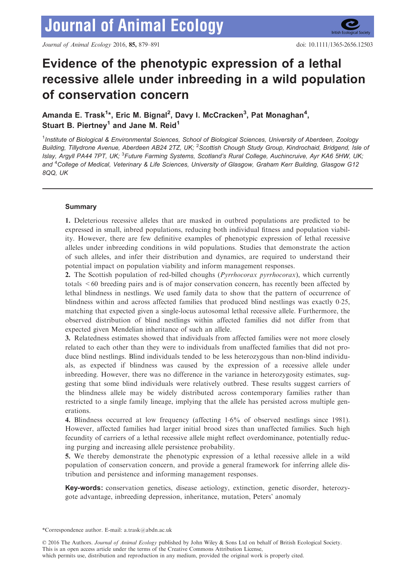

# Evidence of the phenotypic expression of a lethal recessive allele under inbreeding in a wild population of conservation concern

# Amanda E. Trask<sup>1</sup>\*, Eric M. Bignal<sup>2</sup>, Davy I. McCracken<sup>3</sup>, Pat Monaghan<sup>4</sup>, Stuart B. Piertney<sup>1</sup> and Jane M. Reid<sup>1</sup>

<sup>1</sup>Institute of Biological & Environmental Sciences, School of Biological Sciences, University of Aberdeen, Zoology Building, Tillydrone Avenue, Aberdeen AB24 2TZ, UK; <sup>2</sup>Scottish Chough Study Group, Kindrochaid, Bridgend, Isle ot Islay, Argyll PA44 7PT, UK; <sup>3</sup>Future Farming Systems, Scotland's Rural College, Auchincruive, Ayr KA6 5HW, UK; and <sup>4</sup>College of Medical, Veterinary & Life Sciences, University of Glasgow, Graham Kerr Building, Glasgow G12 8QQ, UK

# Summary

1. Deleterious recessive alleles that are masked in outbred populations are predicted to be expressed in small, inbred populations, reducing both individual fitness and population viability. However, there are few definitive examples of phenotypic expression of lethal recessive alleles under inbreeding conditions in wild populations. Studies that demonstrate the action of such alleles, and infer their distribution and dynamics, are required to understand their potential impact on population viability and inform management responses.

2. The Scottish population of red-billed choughs (*Pyrrhocorax pyrrhocorax*), which currently totals <60 breeding pairs and is of major conservation concern, has recently been affected by lethal blindness in nestlings. We used family data to show that the pattern of occurrence of blindness within and across affected families that produced blind nestlings was exactly 025, matching that expected given a single-locus autosomal lethal recessive allele. Furthermore, the observed distribution of blind nestlings within affected families did not differ from that expected given Mendelian inheritance of such an allele.

3. Relatedness estimates showed that individuals from affected families were not more closely related to each other than they were to individuals from unaffected families that did not produce blind nestlings. Blind individuals tended to be less heterozygous than non-blind individuals, as expected if blindness was caused by the expression of a recessive allele under inbreeding. However, there was no difference in the variance in heterozygosity estimates, suggesting that some blind individuals were relatively outbred. These results suggest carriers of the blindness allele may be widely distributed across contemporary families rather than restricted to a single family lineage, implying that the allele has persisted across multiple generations.

4. Blindness occurred at low frequency (affecting 16% of observed nestlings since 1981). However, affected families had larger initial brood sizes than unaffected families. Such high fecundity of carriers of a lethal recessive allele might reflect overdominance, potentially reducing purging and increasing allele persistence probability.

5. We thereby demonstrate the phenotypic expression of a lethal recessive allele in a wild population of conservation concern, and provide a general framework for inferring allele distribution and persistence and informing management responses.

Key-words: conservation genetics, disease aetiology, extinction, genetic disorder, heterozygote advantage, inbreeding depression, inheritance, mutation, Peters' anomaly

\*Correspondence author. E-mail: a.trask@abdn.ac.uk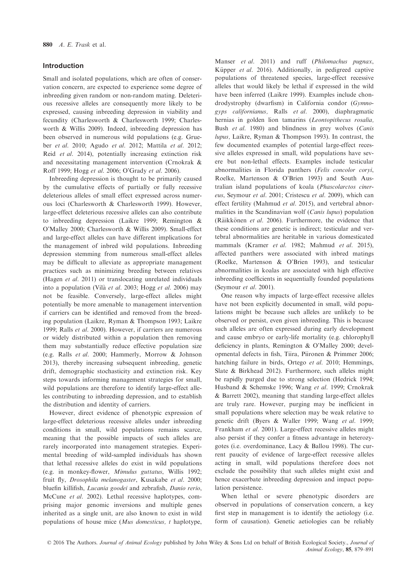# Introduction

Small and isolated populations, which are often of conservation concern, are expected to experience some degree of inbreeding given random or non-random mating. Deleterious recessive alleles are consequently more likely to be expressed, causing inbreeding depression in viability and fecundity (Charlesworth & Charlesworth 1999; Charlesworth & Willis 2009). Indeed, inbreeding depression has been observed in numerous wild populations (e.g. Grueber et al. 2010; Agudo et al. 2012; Mattila et al. 2012; Reid et al. 2014), potentially increasing extinction risk and necessitating management intervention (Crnokrak & Roff 1999; Hogg et al. 2006; O'Grady et al. 2006).

Inbreeding depression is thought to be primarily caused by the cumulative effects of partially or fully recessive deleterious alleles of small effect expressed across numerous loci (Charlesworth & Charlesworth 1999). However, large-effect deleterious recessive alleles can also contribute to inbreeding depression (Laikre 1999; Remington & O'Malley 2000; Charlesworth & Willis 2009). Small-effect and large-effect alleles can have different implications for the management of inbred wild populations. Inbreeding depression stemming from numerous small-effect alleles may be difficult to alleviate as appropriate management practices such as minimizing breeding between relatives (Hagen et al. 2011) or translocating unrelated individuals into a population (Vilà et al. 2003; Hogg et al. 2006) may not be feasible. Conversely, large-effect alleles might potentially be more amenable to management intervention if carriers can be identified and removed from the breeding population (Laikre, Ryman & Thompson 1993; Laikre 1999; Ralls et al. 2000). However, if carriers are numerous or widely distributed within a population then removing them may substantially reduce effective population size (e.g. Ralls et al. 2000; Hammerly, Morrow & Johnson 2013), thereby increasing subsequent inbreeding, genetic drift, demographic stochasticity and extinction risk. Key steps towards informing management strategies for small, wild populations are therefore to identify large-effect alleles contributing to inbreeding depression, and to establish the distribution and identity of carriers.

However, direct evidence of phenotypic expression of large-effect deleterious recessive alleles under inbreeding conditions in small, wild populations remains scarce, meaning that the possible impacts of such alleles are rarely incorporated into management strategies. Experimental breeding of wild-sampled individuals has shown that lethal recessive alleles do exist in wild populations (e.g. in monkey-flower, Mimulus guttatus, Willis 1992; fruit fly, Drosophila melanogaster, Kusakabe et al. 2000; bluefin killifish, Lucania goodei and zebrafish, Danio rerio, McCune et al. 2002). Lethal recessive haplotypes, comprising major genomic inversions and multiple genes inherited as a single unit, are also known to exist in wild populations of house mice (Mus domesticus, t haplotype, Manser et al. 2011) and ruff (Philomachus pugnax, Küpper et al. 2016). Additionally, in pedigreed captive populations of threatened species, large-effect recessive alleles that would likely be lethal if expressed in the wild have been inferred (Laikre 1999). Examples include chondrodystrophy (dwarfism) in California condor (Gymnogyps californianus, Ralls et al. 2000), diaphragmatic hernias in golden lion tamarins (Leontopithecus rosalia, Bush et al. 1980) and blindness in grey wolves (Canis lupus, Laikre, Ryman & Thompson 1993). In contrast, the few documented examples of potential large-effect recessive alleles expressed in small, wild populations have severe but non-lethal effects. Examples include testicular abnormalities in Florida panthers (Felis concolor coryi, Roelke, Martenson & O'Brien 1993) and South Australian island populations of koala (Phascolarctos cinereus, Seymour et al. 2001; Cristescu et al. 2009), which can effect fertility (Mahmud et al. 2015), and vertebral abnormalities in the Scandinavian wolf (Canis lupus) population (Räikkönen et al. 2006). Furthermore, the evidence that these conditions are genetic is indirect; testicular and vertebral abnormalities are heritable in various domesticated mammals (Kramer et al. 1982; Mahmud et al. 2015), affected panthers were associated with inbred matings (Roelke, Martenson & O'Brien 1993), and testicular abnormalities in koalas are associated with high effective inbreeding coefficients in sequentially founded populations (Seymour et al. 2001).

One reason why impacts of large-effect recessive alleles have not been explicitly documented in small, wild populations might be because such alleles are unlikely to be observed or persist, even given inbreeding. This is because such alleles are often expressed during early development and cause embryo or early-life mortality (e.g. chlorophyll deficiency in plants, Remington & O'Malley 2000; developmental defects in fish, Tiira, Piironen & Primmer 2006; hatching failure in birds, Ortego et al. 2010; Hemmings, Slate & Birkhead 2012). Furthermore, such alleles might be rapidly purged due to strong selection (Hedrick 1994; Husband & Schemske 1996; Wang et al. 1999; Crnokrak & Barrett 2002), meaning that standing large-effect alleles are truly rare. However, purging may be inefficient in small populations where selection may be weak relative to genetic drift (Byers & Waller 1999; Wang et al. 1999; Frankham et al. 2001). Large-effect recessive alleles might also persist if they confer a fitness advantage in heterozygotes (i.e. overdominance, Lacy & Ballou 1998). The current paucity of evidence of large-effect recessive alleles acting in small, wild populations therefore does not exclude the possibility that such alleles might exist and hence exacerbate inbreeding depression and impact population persistence.

When lethal or severe phenotypic disorders are observed in populations of conservation concern, a key first step in management is to identify the aetiology (i.e. form of causation). Genetic aetiologies can be reliably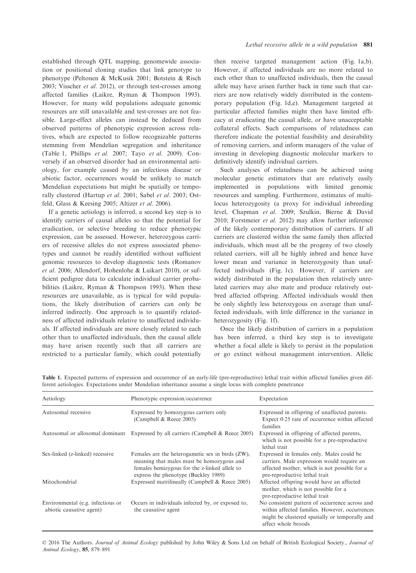established through QTL mapping, genomewide association or positional cloning studies that link genotype to phenotype (Peltonen & McKusik 2001; Botstein & Risch 2003; Visscher et al. 2012), or through test-crosses among affected families (Laikre, Ryman & Thompson 1993). However, for many wild populations adequate genomic resources are still unavailable and test-crosses are not feasible. Large-effect alleles can instead be deduced from observed patterns of phenotypic expression across relatives, which are expected to follow recognizable patterns stemming from Mendelian segregation and inheritance (Table 1, Phillips et al. 2007; Tayo et al. 2009). Conversely if an observed disorder had an environmental aetiology, for example caused by an infectious disease or abiotic factor, occurrences would be unlikely to match Mendelian expectations but might be spatially or temporally clustered (Hartup et al. 2001; Sabel et al. 2003; Ostfeld, Glass & Keesing 2005; Altizer et al. 2006).

If a genetic aetiology is inferred, a second key step is to identify carriers of causal alleles so that the potential for eradication, or selective breeding to reduce phenotypic expression, can be assessed. However, heterozygous carriers of recessive alleles do not express associated phenotypes and cannot be readily identified without sufficient genomic resources to develop diagnostic tests (Romanov et al. 2006; Allendorf, Hohenlohe & Luikart 2010), or sufficient pedigree data to calculate individual carrier probabilities (Laikre, Ryman & Thompson 1993). When these resources are unavailable, as is typical for wild populations, the likely distribution of carriers can only be inferred indirectly. One approach is to quantify relatedness of affected individuals relative to unaffected individuals. If affected individuals are more closely related to each other than to unaffected individuals, then the causal allele may have arisen recently such that all carriers are restricted to a particular family, which could potentially

then receive targeted management action (Fig. 1a,b). However, if affected individuals are no more related to each other than to unaffected individuals, then the causal allele may have arisen further back in time such that carriers are now relatively widely distributed in the contemporary population (Fig. 1d,e). Management targeted at particular affected families might then have limited efficacy at eradicating the causal allele, or have unacceptable collateral effects. Such comparisons of relatedness can therefore indicate the potential feasibility and desirability of removing carriers, and inform managers of the value of investing in developing diagnostic molecular markers to definitively identify individual carriers.

Such analyses of relatedness can be achieved using molecular genetic estimators that are relatively easily implemented in populations with limited genomic resources and sampling. Furthermore, estimates of multilocus heterozygosity (a proxy for individual inbreeding level, Chapman et al. 2009; Szulkin, Bierne & David 2010; Forstmeier et al. 2012) may allow further inference of the likely contemporary distribution of carriers. If all carriers are clustered within the same family then affected individuals, which must all be the progeny of two closely related carriers, will all be highly inbred and hence have lower mean and variance in heterozygosity than unaffected individuals (Fig. 1c). However, if carriers are widely distributed in the population then relatively unrelated carriers may also mate and produce relatively outbred affected offspring. Affected individuals would then be only slightly less heterozygous on average than unaffected individuals, with little difference in the variance in heterozygosity (Fig. 1f).

Once the likely distribution of carriers in a population has been inferred, a third key step is to investigate whether a focal allele is likely to persist in the population or go extinct without management intervention. Allelic

|  |  |  |  |  | Table 1. Expected patterns of expression and occurrence of an early-life (pre-reproductive) lethal trait within affected families given dif- |  |  |  |  |
|--|--|--|--|--|----------------------------------------------------------------------------------------------------------------------------------------------|--|--|--|--|
|  |  |  |  |  | ferent aetiologies. Expectations under Mendelian inheritance assume a single locus with complete penetrance                                  |  |  |  |  |

| Aetiology                                                     | Phenotypic expression/occurrence                                                                                                                                                       | Expectation                                                                                                                                                               |  |  |  |  |
|---------------------------------------------------------------|----------------------------------------------------------------------------------------------------------------------------------------------------------------------------------------|---------------------------------------------------------------------------------------------------------------------------------------------------------------------------|--|--|--|--|
| Autosomal recessive                                           | Expressed by homozygous carriers only<br>(Campbell & Reece 2005)                                                                                                                       | Expressed in offspring of unaffected parents.<br>Expect 0.25 rate of occurrence within affected                                                                           |  |  |  |  |
| Autosomal or allosomal dominant                               | Expressed by all carriers (Campbell $&$ Reece 2005)                                                                                                                                    | families<br>Expressed in offspring of affected parents,<br>which is not possible for a pre-reproductive<br>lethal trait                                                   |  |  |  |  |
| Sex-linked (z-linked) recessive                               | Females are the heterogametic sex in birds (ZW),<br>meaning that males must be homozygous and<br>females hemizygous for the z-linked allele to<br>express the phenotype (Buckley 1989) | Expressed in females only. Males could be<br>carriers. Male expression would require an<br>affected mother, which is not possible for a<br>pre-reproductive lethal trait  |  |  |  |  |
| Mitochondrial                                                 | Expressed matrilineally (Campbell & Reece 2005)                                                                                                                                        | Affected offspring would have an affected<br>mother, which is not possible for a<br>pre-reproductive lethal trait                                                         |  |  |  |  |
| Environmental (e.g. infectious or<br>abiotic causative agent) | Occurs in individuals infected by, or exposed to,<br>the causative agent                                                                                                               | No consistent pattern of occurrence across and<br>within affected families. However, occurrences<br>might be clustered spatially or temporally and<br>affect whole broods |  |  |  |  |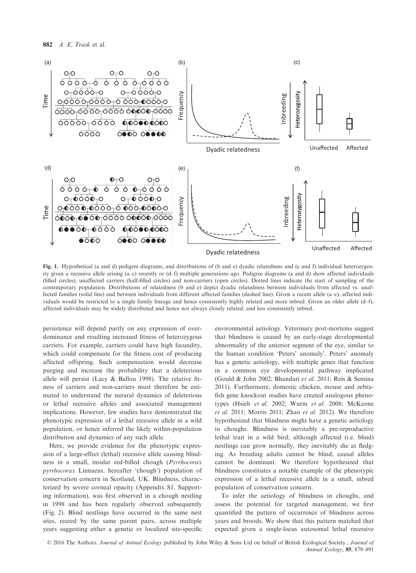

Fig. 1. Hypothetical (a and d) pedigree diagrams, and distributions of (b and e) dyadic relatedness and (c and f) individual heterozygosity given a recessive allele arising (a–c) recently or (d–f) multiple generations ago. Pedigree diagrams (a and d) show affected individuals (filled circles), unaffected carriers (half-filled circles) and non-carriers (open circles). Dotted lines indicate the start of sampling of the contemporary population. Distributions of relatedness (b and e) depict dyadic relatedness between individuals from affected vs. unaffected families (solid line) and between individuals from different affected families (dashed line). Given a recent allele (a–c), affected individuals would be restricted to a single family lineage and hence consistently highly related and more inbred. Given an older allele (d–f), affected individuals may be widely distributed and hence not always closely related, and less consistently inbred.

persistence will depend partly on any expression of overdominance and resulting increased fitness of heterozygous carriers. For example, carriers could have high fecundity, which could compensate for the fitness cost of producing affected offspring. Such compensation would decrease purging and increase the probability that a deleterious allele will persist (Lacy & Ballou 1998). The relative fitness of carriers and non-carriers must therefore be estimated to understand the natural dynamics of deleterious or lethal recessive alleles and associated management implications. However, few studies have demonstrated the phenotypic expression of a lethal recessive allele in a wild population, or hence inferred the likely within-population distribution and dynamics of any such allele.

Here, we provide evidence for the phenotypic expression of a large-effect (lethal) recessive allele causing blindness in a small, insular red-billed chough (Pyrrhocorax pyrrhocorax Linnaeus, hereafter 'chough') population of conservation concern in Scotland, UK. Blindness, characterized by severe corneal opacity (Appendix S1, Supporting information), was first observed in a chough nestling in 1998 and has been regularly observed subsequently (Fig. 2). Blind nestlings have occurred in the same nest sites, reared by the same parent pairs, across multiple years suggesting either a genetic or localized site-specific environmental aetiology. Veterinary post-mortems suggest that blindness is caused by an early-stage developmental abnormality of the anterior segment of the eye, similar to the human condition 'Peters' anomaly'. Peters' anomaly has a genetic aetiology, with multiple genes that function in a common eye developmental pathway implicated (Gould & John 2002; Bhandari et al. 2011; Reis & Semina 2011). Furthermore, domestic chicken, mouse and zebrafish gene knockout studies have created analogous phenotypes (Hsieh et al. 2002; Wurm et al. 2008; McKeone et al. 2011; Morris 2011; Zhao et al. 2012). We therefore hypothesized that blindness might have a genetic aetiology in choughs. Blindness is inevitably a pre-reproductive lethal trait in a wild bird; although affected (i.e. blind) nestlings can grow normally, they inevitably die at fledging. As breeding adults cannot be blind, causal alleles cannot be dominant. We therefore hypothesized that blindness constitutes a notable example of the phenotypic expression of a lethal recessive allele in a small, inbred population of conservation concern.

To infer the aetiology of blindness in choughs, and assess the potential for targeted management, we first quantified the pattern of occurrence of blindness across years and broods. We show that this pattern matched that expected given a single-locus autosomal lethal recessive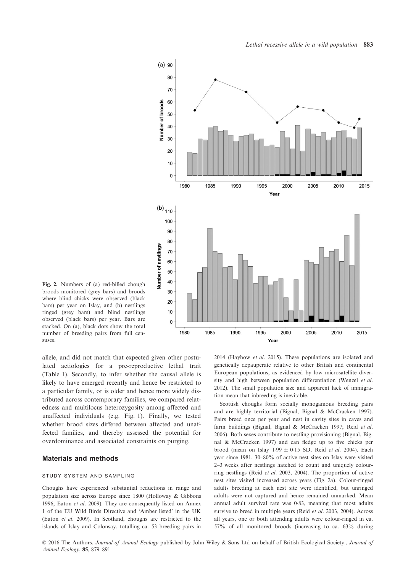

Fig. 2. Numbers of (a) red-billed chough broods monitored (grey bars) and broods where blind chicks were observed (black bars) per year on Islay, and (b) nestlings ringed (grey bars) and blind nestlings observed (black bars) per year. Bars are stacked. On (a), black dots show the total number of breeding pairs from full censuses.

allele, and did not match that expected given other postulated aetiologies for a pre-reproductive lethal trait (Table 1). Secondly, to infer whether the causal allele is likely to have emerged recently and hence be restricted to a particular family, or is older and hence more widely distributed across contemporary families, we compared relatedness and multilocus heterozygosity among affected and unaffected individuals (e.g. Fig. 1). Finally, we tested whether brood sizes differed between affected and unaffected families, and thereby assessed the potential for overdominance and associated constraints on purging.

# Materials and methods

# study system and sampling

Choughs have experienced substantial reductions in range and population size across Europe since 1800 (Holloway & Gibbons 1996; Eaton et al. 2009). They are consequently listed on Annex 1 of the EU Wild Birds Directive and 'Amber listed' in the UK (Eaton et al. 2009). In Scotland, choughs are restricted to the islands of Islay and Colonsay, totalling ca. 53 breeding pairs in

2014 (Hayhow et al. 2015). These populations are isolated and genetically depauperate relative to other British and continental European populations, as evidenced by low microsatellite diversity and high between population differentiation (Wenzel et al. 2012). The small population size and apparent lack of immigration mean that inbreeding is inevitable.

Scottish choughs form socially monogamous breeding pairs and are highly territorial (Bignal, Bignal & McCracken 1997). Pairs breed once per year and nest in cavity sites in caves and farm buildings (Bignal, Bignal & McCracken 1997; Reid et al. 2006). Both sexes contribute to nestling provisioning (Bignal, Bignal & McCracken 1997) and can fledge up to five chicks per brood (mean on Islay  $1.99 \pm 0.15$  SD, Reid et al. 2004). Each year since 1981, 30–80% of active nest sites on Islay were visited 2–3 weeks after nestlings hatched to count and uniquely colourring nestlings (Reid et al. 2003, 2004). The proportion of active nest sites visited increased across years (Fig. 2a). Colour-ringed adults breeding at each nest site were identified, but unringed adults were not captured and hence remained unmarked. Mean annual adult survival rate was 0.83, meaning that most adults survive to breed in multiple years (Reid et al. 2003, 2004). Across all years, one or both attending adults were colour-ringed in ca. 57% of all monitored broods (increasing to ca. 63% during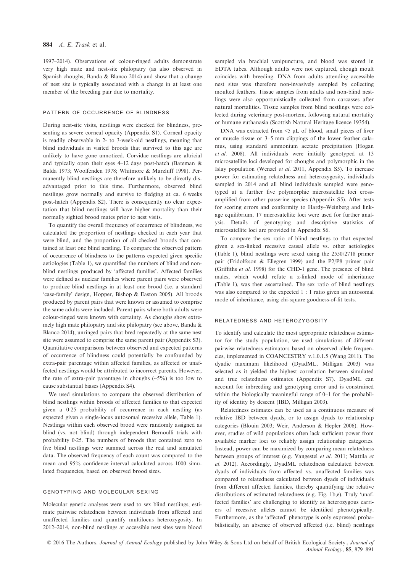# 884 A. E. Trask et al.

1997–2014). Observations of colour-ringed adults demonstrate very high mate and nest-site philopatry (as also observed in Spanish choughs, Banda & Blanco 2014) and show that a change of nest site is typically associated with a change in at least one member of the breeding pair due to mortality.

#### pattern of occurrence of blindness

During nest-site visits, nestlings were checked for blindness, presenting as severe corneal opacity (Appendix S1). Corneal opacity is readily observable in 2- to 3-week-old nestlings, meaning that blind individuals in visited broods that survived to this age are unlikely to have gone unnoticed. Corvidae nestlings are altricial and typically open their eyes  $4-12$  days post-hatch (Bateman  $\&$ Balda 1973; Woolfenden 1978; Whitmore & Marzluff 1998). Permanently blind nestlings are therefore unlikely to be directly disadvantaged prior to this time. Furthermore, observed blind nestlings grow normally and survive to fledging at ca. 6 weeks post-hatch (Appendix S2). There is consequently no clear expectation that blind nestlings will have higher mortality than their normally sighted brood mates prior to nest visits.

To quantify the overall frequency of occurrence of blindness, we calculated the proportion of nestlings checked in each year that were blind, and the proportion of all checked broods that contained at least one blind nestling. To compare the observed pattern of occurrence of blindness to the patterns expected given specific aetiologies (Table 1), we quantified the numbers of blind and nonblind nestlings produced by 'affected families'. Affected families were defined as nuclear families where parent pairs were observed to produce blind nestlings in at least one brood (i.e. a standard 'case-family' design, Hopper, Bishop & Easton 2005). All broods produced by parent pairs that were known or assumed to comprise the same adults were included. Parent pairs where both adults were colour-ringed were known with certainty. As choughs show extremely high mate philopatry and site philopatry (see above, Banda & Blanco 2014), unringed pairs that bred repeatedly at the same nest site were assumed to comprise the same parent pair (Appendix S3). Quantitative comparisons between observed and expected patterns of occurrence of blindness could potentially be confounded by extra-pair parentage within affected families, as affected or unaffected nestlings would be attributed to incorrect parents. However, the rate of extra-pair parentage in choughs  $(-5%)$  is too low to cause substantial biases (Appendix S4).

We used simulations to compare the observed distribution of blind nestlings within broods of affected families to that expected given a 025 probability of occurrence in each nestling (as expected given a single-locus autosomal recessive allele, Table 1). Nestlings within each observed brood were randomly assigned as blind (vs. not blind) through independent Bernoulli trials with probability 025. The numbers of broods that contained zero to five blind nestlings were summed across the real and simulated data. The observed frequency of each count was compared to the mean and 95% confidence interval calculated across 1000 simulated frequencies, based on observed brood sizes.

# genotyping and molecular sexing

Molecular genetic analyses were used to sex blind nestlings, estimate pairwise relatedness between individuals from affected and unaffected families and quantify multilocus heterozygosity. In 2012–2014, non-blind nestlings at accessible nest sites were blood

sampled via brachial venipuncture, and blood was stored in EDTA tubes. Although adults were not captured, chough moult coincides with breeding. DNA from adults attending accessible nest sites was therefore non-invasively sampled by collecting moulted feathers. Tissue samples from adults and non-blind nestlings were also opportunistically collected from carcasses after natural mortalities. Tissue samples from blind nestlings were collected during veterinary post-mortem, following natural mortality or humane euthanasia (Scottish Natural Heritage licence 19354).

DNA was extracted from  $\leq$   $\mu$ L of blood, small pieces of liver or muscle tissue or 3–5 mm clippings of the lower feather calamus, using standard ammonium acetate precipitation (Hogan et al. 2008). All individuals were initially genotyped at 13 microsatellite loci developed for choughs and polymorphic in the Islay population (Wenzel et al. 2011, Appendix S5). To increase power for estimating relatedness and heterozygosity, individuals sampled in 2014 and all blind individuals sampled were genotyped at a further five polymorphic microsatellite loci crossamplified from other passerine species (Appendix S5). After tests for scoring errors and conformity to Hardy–Weinberg and linkage equilibrium, 17 microsatellite loci were used for further analysis. Details of genotyping and descriptive statistics of microsatellite loci are provided in Appendix S6.

To compare the sex ratio of blind nestlings to that expected given a sex-linked recessive causal allele vs. other aetiologies (Table 1), blind nestlings were sexed using the 2550/2718 primer pair (Fridolfsson & Ellegren 1999) and the P2/P8 primer pair (Griffiths et al. 1998) for the CHD-1 gene. The presence of blind males, which would refute a z-linked mode of inheritance (Table 1), was then ascertained. The sex ratio of blind nestlings was also compared to the expected 1 : 1 ratio given an autosomal mode of inheritance, using chi-square goodness-of-fit tests.

#### relatedness and heterozygosity

To identify and calculate the most appropriate relatedness estimator for the study population, we used simulations of different pairwise relatedness estimators based on observed allele frequencies, implemented in COANCESTRY v.1.0.1.5 (Wang 2011). The dyadic maximum likelihood (DyadML, Milligan 2003) was selected as it yielded the highest correlation between simulated and true relatedness estimates (Appendix S7). DyadML can account for inbreeding and genotyping error and is constrained within the biologically meaningful range of 0–1 for the probability of identity by descent (IBD, Milligan 2003).

Relatedness estimates can be used as a continuous measure of relative IBD between dyads, or to assign dyads to relationship categories (Blouin 2003; Weir, Anderson & Hepler 2006). However, studies of wild populations often lack sufficient power from available marker loci to reliably assign relationship categories. Instead, power can be maximized by comparing mean relatedness between groups of interest (e.g. Vangestel et al. 2011; Mattila et al. 2012). Accordingly, DyadML relatedness calculated between dyads of individuals from affected vs. unaffected families was compared to relatedness calculated between dyads of individuals from different affected families, thereby quantifying the relative distributions of estimated relatedness (e.g. Fig. 1b,e). Truly 'unaffected families' are challenging to identify as heterozygous carriers of recessive alleles cannot be identified phenotypically. Furthermore, as the 'affected' phenotype is only expressed probabilistically, an absence of observed affected (i.e. blind) nestlings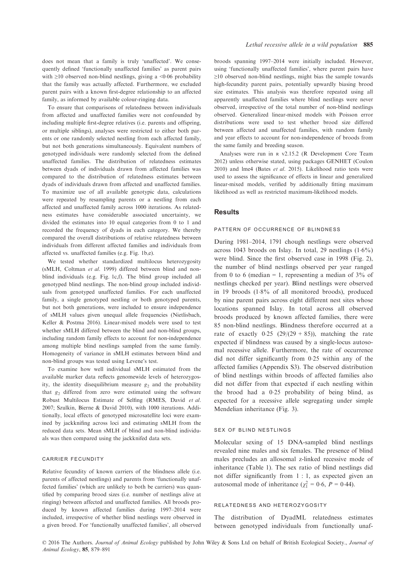does not mean that a family is truly 'unaffected'. We consequently defined 'functionally unaffected families' as parent pairs with  $\geq$ 10 observed non-blind nestlings, giving a <0.06 probability that the family was actually affected. Furthermore, we excluded parent pairs with a known first-degree relationship to an affected family, as informed by available colour-ringing data.

To ensure that comparisons of relatedness between individuals from affected and unaffected families were not confounded by including multiple first-degree relatives (i.e. parents and offspring, or multiple siblings), analyses were restricted to either both parents or one randomly selected nestling from each affected family, but not both generations simultaneously. Equivalent numbers of genotyped individuals were randomly selected from the defined unaffected families. The distribution of relatedness estimates between dyads of individuals drawn from affected families was compared to the distribution of relatedness estimates between dyads of individuals drawn from affected and unaffected families. To maximize use of all available genotypic data, calculations were repeated by resampling parents or a nestling from each affected and unaffected family across 1000 iterations. As relatedness estimates have considerable associated uncertainty, we divided the estimates into 10 equal categories from 0 to 1 and recorded the frequency of dyads in each category. We thereby compared the overall distributions of relative relatedness between individuals from different affected families and individuals from affected vs. unaffected families (e.g. Fig. 1b,e).

We tested whether standardized multilocus heterozygosity (sMLH, Coltman et al. 1999) differed between blind and nonblind individuals (e.g. Fig. 1c,f). The blind group included all genotyped blind nestlings. The non-blind group included individuals from genotyped unaffected families. For each unaffected family, a single genotyped nestling or both genotyped parents, but not both generations, were included to ensure independence of sMLH values given unequal allele frequencies (Nietlisbach, Keller & Postma 2016). Linear-mixed models were used to test whether sMLH differed between the blind and non-blind groups, including random family effects to account for non-independence among multiple blind nestlings sampled from the same family. Homogeneity of variance in sMLH estimates between blind and non-blind groups was tested using Levene's test.

To examine how well individual sMLH estimated from the available marker data reflects genomewide levels of heterozygosity, the identity disequilibrium measure  $g_2$  and the probability that  $g_2$  differed from zero were estimated using the software Robust Multilocus Estimate of Selfing (RMES, David et al. 2007; Szulkin, Bierne & David 2010), with 1000 iterations. Additionally, local effects of genotyped microsatellite loci were examined by jackknifing across loci and estimating sMLH from the reduced data sets. Mean sMLH of blind and non-blind individuals was then compared using the jackknifed data sets.

# carrier fecundity

Relative fecundity of known carriers of the blindness allele (i.e. parents of affected nestlings) and parents from 'functionally unaffected families' (which are unlikely to both be carriers) was quantified by comparing brood sizes (i.e. number of nestlings alive at ringing) between affected and unaffected families. All broods produced by known affected families during 1997–2014 were included, irrespective of whether blind nestlings were observed in a given brood. For 'functionally unaffected families', all observed

broods spanning 1997–2014 were initially included. However, using 'functionally unaffected families', where parent pairs have ≥10 observed non-blind nestlings, might bias the sample towards high-fecundity parent pairs, potentially upwardly biasing brood size estimates. This analysis was therefore repeated using all apparently unaffected families where blind nestlings were never observed, irrespective of the total number of non-blind nestlings observed. Generalized linear-mixed models with Poisson error distributions were used to test whether brood size differed between affected and unaffected families, with random family and year effects to account for non-independence of broods from the same family and breeding season.

Analyses were run in <sup>R</sup> v2.15.2 (R Development Core Team 2012) unless otherwise stated, using packages GENHET (Coulon 2010) and lme4 (Bates et al. 2015). Likelihood ratio tests were used to assess the significance of effects in linear and generalized linear-mixed models, verified by additionally fitting maximum likelihood as well as restricted maximum-likelihood models.

# Results

# pattern of occurrence of blindness

During 1981–2014, 1791 chough nestlings were observed across 1043 broods on Islay. In total, 29 nestlings  $(1.6\%)$ were blind. Since the first observed case in 1998 (Fig. 2), the number of blind nestlings observed per year ranged from 0 to 6 (median = 1, representing a median of  $3\%$  of nestlings checked per year). Blind nestlings were observed in 19 broods (18% of all monitored broods), produced by nine parent pairs across eight different nest sites whose locations spanned Islay. In total across all observed broods produced by known affected families, there were 85 non-blind nestlings. Blindness therefore occurred at a rate of exactly  $0.25$  (29/(29 + 85)), matching the rate expected if blindness was caused by a single-locus autosomal recessive allele. Furthermore, the rate of occurrence did not differ significantly from 025 within any of the affected families (Appendix S3). The observed distribution of blind nestlings within broods of affected families also did not differ from that expected if each nestling within the brood had a 025 probability of being blind, as expected for a recessive allele segregating under simple Mendelian inheritance (Fig. 3).

#### sex of blind nestlings

Molecular sexing of 15 DNA-sampled blind nestlings revealed nine males and six females. The presence of blind males precludes an allosomal z-linked recessive mode of inheritance (Table 1). The sex ratio of blind nestlings did not differ significantly from 1 : 1, as expected given an autosomal mode of inheritance ( $\chi_1^2 = 0.6$ ,  $P = 0.44$ ).

#### relatedness and heterozygosity

The distribution of DyadML relatedness estimates between genotyped individuals from functionally unaf-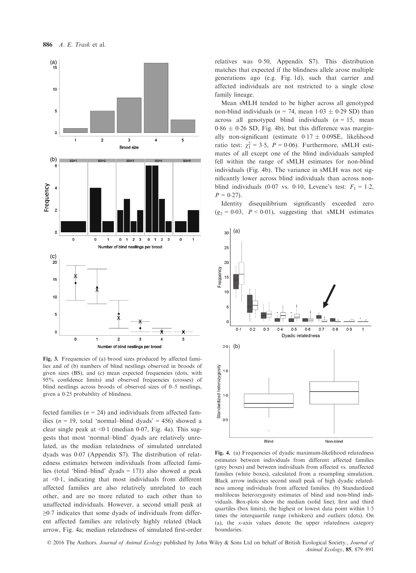

Fig. 3. Frequencies of (a) brood sizes produced by affected families and of (b) numbers of blind nestlings observed in broods of given sizes (BS), and (c) mean expected frequencies (dots, with 95% confidence limits) and observed frequencies (crosses) of blind nestlings across broods of observed sizes of 0–5 nestlings, given a 025 probability of blindness.

fected families ( $n = 24$ ) and individuals from affected families ( $n = 19$ , total 'normal-blind dyads' = 456) showed a clear single peak at  $\leq 0.1$  (median 0.07, Fig. 4a). This suggests that most 'normal–blind' dyads are relatively unrelated, as the median relatedness of simulated unrelated dyads was 0.07 (Appendix S7). The distribution of relatedness estimates between individuals from affected families (total 'blind–blind' dyads = 171) also showed a peak at  $\leq 0.1$ , indicating that most individuals from different affected families are also relatively unrelated to each other, and are no more related to each other than to unaffected individuals. However, a second small peak at ≥07 indicates that some dyads of individuals from different affected families are relatively highly related (black arrow, Fig. 4a; median relatedness of simulated first-order

relatives was 050, Appendix S7). This distribution matches that expected if the blindness allele arose multiple generations ago (e.g. Fig. 1d), such that carrier and affected individuals are not restricted to a single close family lineage.

Mean sMLH tended to be higher across all genotyped non-blind individuals ( $n = 74$ , mean  $1.03 \pm 0.29$  SD) than across all genotyped blind individuals  $(n = 15$ , mean  $0.86 \pm 0.26$  SD, Fig. 4b), but this difference was marginally non-significant (estimate  $0.17 \pm 0.09$ SE, likelihood ratio test:  $\chi_1^2 = 3.5$ ,  $P = 0.06$ ). Furthermore, sMLH estimates of all except one of the blind individuals sampled fell within the range of sMLH estimates for non-blind individuals (Fig. 4b). The variance in sMLH was not significantly lower across blind individuals than across nonblind individuals (0.07 vs. 0.10, Levene's test:  $F_1 = 1.2$ ,

 $P = 0.27$ ).<br>Identity disequilibrium significantly exceeded zero  $(g_2 = 0.03, P < 0.01)$ , suggesting that sMLH estimates



Fig. 4. (a) Frequencies of dyadic maximum-likelihood relatedness estimates between individuals from different affected families (grey boxes) and between individuals from affected vs. unaffected families (white boxes), calculated from a resampling simulation. Black arrow indicates second small peak of high dyadic relatedness among individuals from affected families. (b) Standardized multilocus heterozygosity estimates of blind and non-blind individuals. Box-plots show the median (solid line), first and third quartiles (box limits), the highest or lowest data point within  $1.5$ times the interquartile range (whiskers) and outliers (dots). On (a), the x-axis values denote the upper relatedness category boundaries.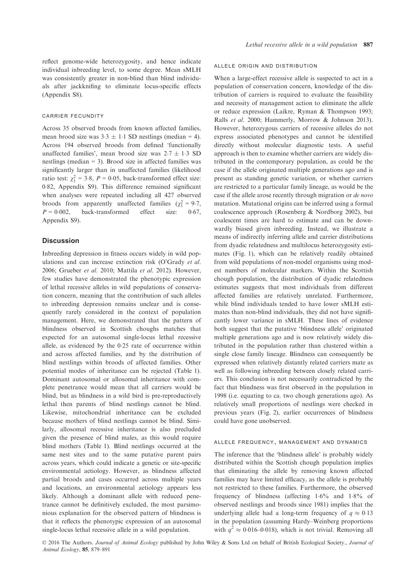reflect genome-wide heterozygosity, and hence indicate individual inbreeding level, to some degree. Mean sMLH was consistently greater in non-blind than blind individuals after jackknifing to eliminate locus-specific effects (Appendix S8).

# carrier fecundity

Across 35 observed broods from known affected families, mean brood size was  $3.3 \pm 1.1$  SD nestlings (median = 4). Across 194 observed broods from defined 'functionally unaffected families', mean brood size was  $2.7 \pm 1.3$  SD nestlings (median = 3). Brood size in affected families was significantly larger than in unaffected families (likelihood ratio test:  $\chi_1^2 = 3.8$ ,  $P = 0.05$ , back-transformed effect size: 082, Appendix S9). This difference remained significant when analyses were repeated including all 427 observed broods from apparently unaffected families  $(\chi_1^2 = 9.7)$ ,  $P = 0.002$ , back-transformed effect size: 0.67, Appendix S9).

# **Discussion**

Inbreeding depression in fitness occurs widely in wild populations and can increase extinction risk (O'Grady et al. 2006; Grueber et al. 2010; Mattila et al. 2012). However, few studies have demonstrated the phenotypic expression of lethal recessive alleles in wild populations of conservation concern, meaning that the contribution of such alleles to inbreeding depression remains unclear and is consequently rarely considered in the context of population management. Here, we demonstrated that the pattern of blindness observed in Scottish choughs matches that expected for an autosomal single-locus lethal recessive allele, as evidenced by the 025 rate of occurrence within and across affected families, and by the distribution of blind nestlings within broods of affected families. Other potential modes of inheritance can be rejected (Table 1). Dominant autosomal or allosomal inheritance with complete penetrance would mean that all carriers would be blind, but as blindness in a wild bird is pre-reproductively lethal then parents of blind nestlings cannot be blind. Likewise, mitochondrial inheritance can be excluded because mothers of blind nestlings cannot be blind. Similarly, allosomal recessive inheritance is also precluded given the presence of blind males, as this would require blind mothers (Table 1). Blind nestlings occurred at the same nest sites and to the same putative parent pairs across years, which could indicate a genetic or site-specific environmental aetiology. However, as blindness affected partial broods and cases occurred across multiple years and locations, an environmental aetiology appears less likely. Although a dominant allele with reduced penetrance cannot be definitively excluded, the most parsimonious explanation for the observed pattern of blindness is that it reflects the phenotypic expression of an autosomal single-locus lethal recessive allele in a wild population.

# allele origin and distribution

When a large-effect recessive allele is suspected to act in a population of conservation concern, knowledge of the distribution of carriers is required to evaluate the feasibility and necessity of management action to eliminate the allele or reduce expression (Laikre, Ryman & Thompson 1993; Ralls et al. 2000; Hammerly, Morrow & Johnson 2013). However, heterozygous carriers of recessive alleles do not express associated phenotypes and cannot be identified directly without molecular diagnostic tests. A useful approach is then to examine whether carriers are widely distributed in the contemporary population, as could be the case if the allele originated multiple generations ago and is present as standing genetic variation, or whether carriers are restricted to a particular family lineage, as would be the case if the allele arose recently through migration or de novo mutation. Mutational origins can be inferred using a formal coalescence approach (Rosenberg & Nordborg 2002), but coalescent times are hard to estimate and can be downwardly biased given inbreeding. Instead, we illustrate a means of indirectly inferring allele and carrier distributions from dyadic relatedness and multilocus heterozygosity estimates (Fig. 1), which can be relatively readily obtained from wild populations of non-model organisms using modest numbers of molecular markers. Within the Scottish chough population, the distribution of dyadic relatedness estimates suggests that most individuals from different affected families are relatively unrelated. Furthermore, while blind individuals tended to have lower sMLH estimates than non-blind individuals, they did not have significantly lower variance in sMLH. These lines of evidence both suggest that the putative 'blindness allele' originated multiple generations ago and is now relatively widely distributed in the population rather than clustered within a single close family lineage. Blindness can consequently be expressed when relatively distantly related carriers mate as well as following inbreeding between closely related carriers. This conclusion is not necessarily contradicted by the fact that blindness was first observed in the population in 1998 (i.e. equating to ca. two chough generations ago). As relatively small proportions of nestlings were checked in previous years (Fig. 2), earlier occurrences of blindness could have gone unobserved.

# allele frequency, management and dynamics

The inference that the 'blindness allele' is probably widely distributed within the Scottish chough population implies that eliminating the allele by removing known affected families may have limited efficacy, as the allele is probably not restricted to these families. Furthermore, the observed frequency of blindness (affecting 16% and 18% of observed nestlings and broods since 1981) implies that the underlying allele had a long-term frequency of  $q \approx 0.13$ in the population (assuming Hardy–Weinberg proportions with  $q^2 \approx 0.016-0.018$ , which is not trivial. Removing all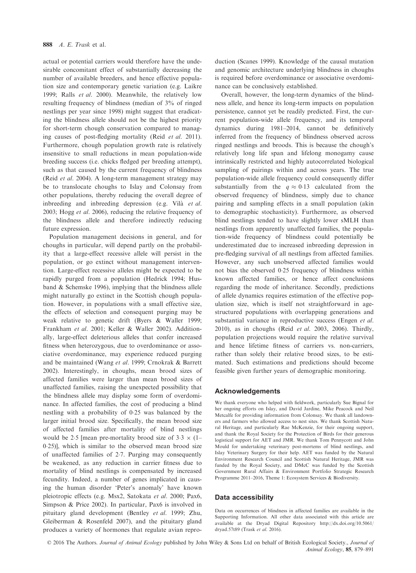actual or potential carriers would therefore have the undesirable concomitant effect of substantially decreasing the number of available breeders, and hence effective population size and contemporary genetic variation (e.g. Laikre 1999; Ralls et al. 2000). Meanwhile, the relatively low resulting frequency of blindness (median of 3% of ringed nestlings per year since 1998) might suggest that eradicating the blindness allele should not be the highest priority for short-term chough conservation compared to managing causes of post-fledging mortality (Reid et al. 2011). Furthermore, chough population growth rate is relatively insensitive to small reductions in mean population-wide breeding success (i.e. chicks fledged per breeding attempt), such as that caused by the current frequency of blindness (Reid et al. 2004). A long-term management strategy may be to translocate choughs to Islay and Colonsay from other populations, thereby reducing the overall degree of inbreeding and inbreeding depression (e.g. Vilà et al. 2003; Hogg et al. 2006), reducing the relative frequency of the blindness allele and therefore indirectly reducing future expression.

Population management decisions in general, and for choughs in particular, will depend partly on the probability that a large-effect recessive allele will persist in the population, or go extinct without management intervention. Large-effect recessive alleles might be expected to be rapidly purged from a population (Hedrick 1994; Husband & Schemske 1996), implying that the blindness allele might naturally go extinct in the Scottish chough population. However, in populations with a small effective size, the effects of selection and consequent purging may be weak relative to genetic drift (Byers & Waller 1999; Frankham et al. 2001; Keller & Waller 2002). Additionally, large-effect deleterious alleles that confer increased fitness when heterozygous, due to overdominance or associative overdominance, may experience reduced purging and be maintained (Wang et al. 1999; Crnokrak & Barrett 2002). Interestingly, in choughs, mean brood sizes of affected families were larger than mean brood sizes of unaffected families, raising the unexpected possibility that the blindness allele may display some form of overdominance. In affected families, the cost of producing a blind nestling with a probability of 025 was balanced by the larger initial brood size. Specifically, the mean brood size of affected families after mortality of blind nestlings would be 2.5 [mean pre-mortality brood size of  $3.3 \times (1 -$ 025)], which is similar to the observed mean brood size of unaffected families of 27. Purging may consequently be weakened, as any reduction in carrier fitness due to mortality of blind nestlings is compensated by increased fecundity. Indeed, a number of genes implicated in causing the human disorder 'Peter's anomaly' have known pleiotropic effects (e.g. Msx2, Satokata et al. 2000; Pax6, Simpson & Price 2002). In particular, Pax6 is involved in pituitary gland development (Bentley et al. 1999; Zhu, Gleiberman & Rosenfeld 2007), and the pituitary gland produces a variety of hormones that regulate avian reproduction (Scanes 1999). Knowledge of the causal mutation and genomic architecture underlying blindness in choughs is required before overdominance or associative overdominance can be conclusively established.

Overall, however, the long-term dynamics of the blindness allele, and hence its long-term impacts on population persistence, cannot yet be readily predicted. First, the current population-wide allele frequency, and its temporal dynamics during 1981–2014, cannot be definitively inferred from the frequency of blindness observed across ringed nestlings and broods. This is because the chough's relatively long life span and lifelong monogamy cause intrinsically restricted and highly autocorrelated biological sampling of pairings within and across years. The true population-wide allele frequency could consequently differ substantially from the  $q \approx 0.13$  calculated from the observed frequency of blindness, simply due to chance pairing and sampling effects in a small population (akin to demographic stochasticity). Furthermore, as observed blind nestlings tended to have slightly lower sMLH than nestlings from apparently unaffected families, the population-wide frequency of blindness could potentially be underestimated due to increased inbreeding depression in pre-fledging survival of all nestlings from affected families. However, any such unobserved affected families would not bias the observed 025 frequency of blindness within known affected families, or hence affect conclusions regarding the mode of inheritance. Secondly, predictions of allele dynamics requires estimation of the effective population size, which is itself not straightforward in agestructured populations with overlapping generations and substantial variance in reproductive success (Engen et al. 2010), as in choughs (Reid  $et$  al. 2003, 2006). Thirdly, population projections would require the relative survival and hence lifetime fitness of carriers vs. non-carriers, rather than solely their relative brood sizes, to be estimated. Such estimations and predictions should become feasible given further years of demographic monitoring.

# Acknowledgements

We thank everyone who helped with fieldwork, particularly Sue Bignal for her ongoing efforts on Islay, and David Jardine, Mike Peacock and Neil Metcalfe for providing information from Colonsay. We thank all landowners and farmers who allowed access to nest sites. We thank Scottish Natural Heritage, and particularly Rae McKenzie, for their ongoing support, and thank the Royal Society for the Protection of Birds for their generous logistical support for AET and JMR. We thank Tom Pennycott and John Mould for undertaking veterinary post-mortems of blind nestlings, and Islay Veterinary Surgery for their help. AET was funded by the Natural Environment Research Council and Scottish Natural Heritage, JMR was funded by the Royal Society, and DMcC was funded by the Scottish Government Rural Affairs & Environment Portfolio Strategic Research Programme 2011–2016, Theme 1: Ecosystem Services & Biodiversity.

#### Data accessibility

Data on occurrences of blindness in affected families are available in the Supporting Information. All other data associated with this article are available at the Dryad Digital Repository [http://dx.doi.org/10.5061/](http://dx.doi.org/10.5061/dryad.57t89) [dryad.57t89](http://dx.doi.org/10.5061/dryad.57t89) (Trask et al. 2016).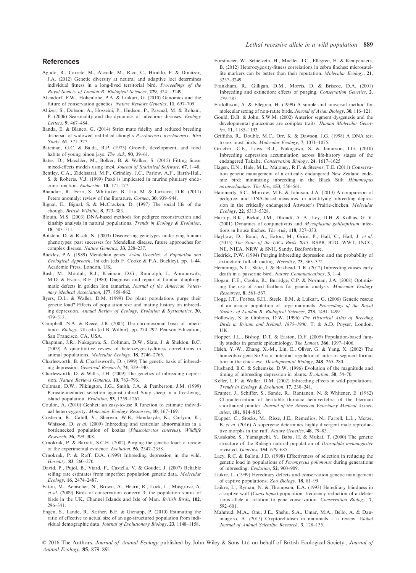# References

- Agudo, R., Carrete, M., Alcaide, M., Rico, C., Hiraldo, F. & Donázar, J.A. (2012) Genetic diversity at neutral and adaptive loci determines individual fitness in a long-lived territorial bird. Proceedings of the Royal Society of London B: Biological Sciences, 279, 3241–3249.
- Allendorf, F.W., Hohenlohe, P.A. & Luikart, G. (2010) Genomics and the future of conservation genetics. Nature Reviews Genetics, 11, 697–709.
- Altizer, S., Dobson, A., Hosseini, P., Hudson, P., Pascual, M. & Rohani, P. (2006) Seasonality and the dynamics of infectious diseases. Ecology Letters, 9, 467–484.
- Banda, E. & Blanco, G. (2014) Strict mate fidelity and reduced breeding dispersal of widowed red-billed choughs Pyrrhocorax pyrrhocorax. Bird Study, 61, 371–377.
- Bateman, G.C. & Balda, R.P. (1973) Growth, development, and food habits of young pinon jays. The Auk, 90, 39–61.
- Bates, D., Maechler, M., Bolker, B. & Walker, S. (2015) Fitting linear mixed-effects models using lme4. Journal of Statistical Software, 67, 1–48.
- Bentley, C.A., Zidehsarai, M.P., Grindley, J.C., Parlow, A.F., Barth-Hall, S. & Roberts, V.J. (1999) Pax6 is implicated in murine pituitary endocrine function. Endocrine, 10, 171–177.
- Bhandari, R., Ferri, S., Whittaker, B., Liu, M. & Lazzaro, D.R. (2011) Peters anomaly: review of the literature. Cornea, 30, 939-944.
- Bignal, E., Bignal, S. & McCracken, D. (1997) The social life of the chough. British Wildlife, 8, 373–383.
- Blouin, M.S. (2003) DNA-based methods for pedigree reconstruction and kinship analysis in natural populations. Trends in Ecology & Evolution, 18, 503–511.
- Botstein, D. & Risch, N. (2003) Discovering genotypes underlying human phenotypes: past successes for Mendelian disease, future approaches for complex disease. Nature Genetics, 33, 228–237.
- Buckley, P.A. (1989) Mendelian genes. Avian Genetics: A Population and Ecological Approach, 1st edn (eds F. Cooke & P.A. Buckley), pp. 1–44. Academic Press, London, UK.
- Bush, M., Montali, R.J., Kleiman, D.G., Randolph, J., Abramowitz, M.D. & Evans, R.F. (1980) Diagnosis and repair of familial diaphragmatic defects in golden lion tamarins. Journal of the American Veterinary Medical Association, 177, 858–862.
- Byers, D.L. & Waller, D.M. (1999) Do plant populations purge their genetic load? Effects of population size and mating history on inbreeding depression. Annual Review of Ecology, Evolution & Systematics, 30, 479–513.
- Campbell, N.A. & Reece, J.B. (2005) The chromosomal basis of inheritance. Biology, 7th edn (ed B. Wilbur), pp. 274–292. Pearson Education, San Francisco, CA, USA.
- Chapman, J.R., Nakagawa, S., Coltman, D.W., Slate, J. & Sheldon, B.C. (2009) A quantitative review of heterozygosity-fitness correlations in animal populations. Molecular Ecology, 18, 2746–2765.
- Charlesworth, B. & Charlesworth, D. (1999) The genetic basis of inbreeding depression. Genetical Research, 74, 329–340.
- Charlesworth, D. & Willis, J.H. (2009) The genetics of inbreeding depression. Nature Reviews Genetics, 10, 783–796.
- Coltman, D.W., Pilkington, J.G., Smith, J.A. & Pemberton, J.M. (1999) Parasite-mediated selection against inbred Soay sheep in a free-living, island population. Evolution, 53, 1259–1267.
- Coulon, A. (2010) Genhet: an easy-to-use R function to estimate individual heterozygosity. Molecular Ecology Resources, 10, 167–169.
- Cristescu, R., Cahill, V., Sherwin, W.B., Handasyde, K., Carlyon, K., Whisson, D. et al. (2009) Inbreeding and testicular abnormalities in a bottlenecked population of koalas (Phascolarctos cinereus). Wildlife Research, 36, 299–308.
- Crnokrak, P. & Barrett, S.C.H. (2002) Purging the genetic load: a review of the experimental evidence. Evolution, 56, 2347–2358.
- Crnokrak, P. & Roff, D.A. (1999) Inbreeding depression in the wild. Heredity, 83, 260–270.
- David, P., Pujol, B., Viard, F., Castella, V. & Goudet, J. (2007) Reliable selfing rate estimates from imperfect population genetic data. Molecular Ecology, 16, 2474–2487.
- Eaton, M., Aebischer, N., Brown, A., Hearn, R., Lock, L., Musgrove, A. et al. (2009) Birds of conservation concern 3: the population status of birds in the UK, Channel Islands and Isle of Man. British Birds, 102, 296–341.
- Engen, S., Lande, R., Sæther, B.E. & Gienapp, P. (2010) Estimating the ratio of effective to actual size of an age-structured population from individual demographic data. Journal of Evolutionary Biology, 23, 1148–1158.
- Forstmeier, W., Schielzeth, H., Mueller, J.C., Ellegren, H. & Kempenaers, B. (2012) Heterozygosity-fitness correlations in zebra finches: microsatellite markers can be better than their reputation. Molecular Ecology, 21, 3237–3249.
- Frankham, R., Gilligan, D.M., Morris, D. & Briscoe, D.A. (2001) Inbreeding and extinction: effects of purging. Conservation Genetics, 2, 279–285.
- Fridolfsson, A. & Ellegren, H. (1999) A simple and universal method for molecular sexing of non-ratite birds. Journal of Avian Biology, 30, 116–121.
- Gould, D.B. & John, S.W.M. (2002) Anterior segment dysgenesis and the developmental glaucomas are complex traits. Human Molecular Genetics, 11, 1185–1193.
- Griffiths, R., Double, M.C., Orr, K. & Dawson, J.G. (1998) A DNA test to sex most birds. Molecular Ecology, 7, 1071–1075.
- Grueber, C.E., Laws, R.J., Nakagawa, S. & Jamieson, I.G. (2010) Inbreeding depression accumulation across life-history stages of the endangered Takahe. Conservation Biology, 24, 1617–1625.
- Hagen, E.N., Hale, M.L., Maloney, R.F. & Steeves, T.E. (2011) Conservation genetic management of a critically endangered New Zealand endemic bird: minimizing inbreeding in the Black Stilt Himantopus novaezelandiae. The Ibis, 153, 556-561.
- Hammerly, S.C., Morrow, M.E. & Johnson, J.A. (2013) A comparison of pedigree- and DNA-based measures for identifying inbreeding depression in the critically endangered Attwater's Prairie-chicken. Molecular Ecology, 22, 5313–5328.
- Hartup, B.K., Bickal, J.M., Dhondt, A. A., Ley, D.H. & Kollias, G. V. (2001) Dynamics of conjunctivitis and Mycoplasma gallisepticum infections in house finches. The Auk, 118, 327–333.
- Hayhow, D., Bond, A., Eaton, M., Grice, P., Hall, C., Hall, J. et al. (2015) The State of the UK's Birds 2015. RSPB, BTO, WWT, JNCC, NE, NIEA, NRW & SNH, Sandy, Bedfordshire.
- Hedrick, P.W. (1994) Purging inbreeding depression and the probability of extinction: full-sib mating. Heredity, 73, 363–372.
- Hemmings, N.L., Slate, J. & Birkhead, T.R. (2012) Inbreeding causes early death in a passerine bird. Nature Communications, 3, 1–4.
- Hogan, F.E., Cooke, R., Burridge, C.P. & Norman, J.A. (2008) Optimizing the use of shed feathers for genetic analysis. Molecular Ecology Resources, 8, 561–567.
- Hogg, J.T., Forbes, S.H., Steele, B.M. & Luikart, G. (2006) Genetic rescue of an insular population of large mammals. Proceedings of the Royal Society of London B: Biological Sciences, 273, 1491–1499.
- Holloway, S. & Gibbons, D.W. (1996) The Historical Atlas of Breeding Birds in Britain and Ireland, 1875–1900. T. & A.D. Poyser, London, UK.
- Hopper, J.L., Bishop, D.T. & Easton, D.F. (2005) Population-based family studies in genetic epidemiology. The Lancet, 366, 1397–1406.
- Hsieh, Y.-W., Zhang, X.-M., Lin, E., Oliver, G. & Yang, X. (2002) The homeobox gene Six3 is a potential regulator of anterior segment formation in the chick eye. Developmental Biology, 248, 265–280.
- Husband, B.C. & Schemske, D.W. (1996) Evolution of the magnitude and timing of inbreeding depression in plants. Evolution, 50, 54–70.
- Keller, L.F. & Waller, D.M. (2002) Inbreeding effects in wild populations. Trends in Ecology & Evolution, 17, 230–241.
- Kramer, J., Schiffer, S., Sande, R., Rantanen, N. & Whitener, E. (1982) Characterization of heritable thoracic hemivertebra of the German shorthaired pointer. Journal of the American Veterinary Medical Association, 181, 814–815.
- Küpper, C., Stocks, M., Risse, J.E., Remedios, N., Farrell, L.L., Mcrae, B. et al. (2016) A supergene determines highly divergent male reproductive morphs in the ruff. Nature Genetics, 48, 79–83.
- Kusakabe, S., Yamaguchi, Y., Baba, H. & Mukai, T. (2000) The genetic structure of the Raleigh natural population of Drosophila melanogaster revisited. Genetics, 154, 679–685.
- Lacy, R.C. & Ballou, J.D. (1998) Effectiveness of selection in reducing the genetic load in populations of Peromyscus polionotus during generations of inbreeding. Evolution, 52, 900–909.
- Laikre, L. (1999) Hereditary defects and conservation genetic management of captive populations. Zoo Biology, 18, 81–99.
- Laikre, L., Ryman, N. & Thompson, E.A. (1993) Hereditary blindness in a captive wolf (Canis lupus) population: frequency reduction of a deleterious allele in relation to gene conservation. Conservation Biology, 7, 592–601.
- Mahmud, M.A., Onu, J.E., Shehu, S.A., Umar, M.A., Bello, A. & Danmaigoro, A. (2015) Cryptorchidism in mammals – a review. Global Journal of Animal Scientific Research, 3, 128–135.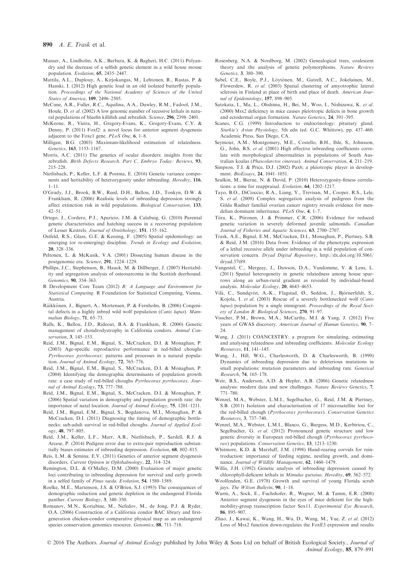- Manser, A., Lindholm, A.K., Barbara, K. & Bagheri, H.C. (2011) Polyandry and the decrease of a selfish genetic element in a wild house mouse population. Evolution, 65, 2435–2447.
- Mattila, A.L., Duplouy, A., Kirjokangas, M., Lehtonen, R., Rastas, P. & Hanski, I. (2012) High genetic load in an old isolated butterfly population. Proceedings of the National Academy of Sciences of the United States of America, 109, 2496–2505.
- McCune, A.R., Fuller, R.C., Aquilina, A.A., Dawley, R.M., Fadool, J.M., Houle, D. et al. (2002) A low genomic number of recessive lethals in natural populations of bluefin killifish and zebrafish. Science, 296, 2398–2401.
- McKeone, R., Vieira, H., Gregory-Evans, K., Gregory-Evans, C.Y. & Denny, P. (2011) Foxf2: a novel locus for anterior segment dysgenesis adjacent to the Foxc1 gene.  $PLoS$  One, 6, 1–8.
- Milligan, B.G. (2003) Maximum-likelihood estimation of relatedness. Genetics, 163, 1153–1167.
- Morris, A.C. (2011) The genetics of ocular disorders: insights from the zebrafish. Birth Defects Research. Part C, Embryo Today: Reviews, 93, 215–228.
- Nietlisbach, P., Keller, L.F. & Postma, E. (2016) Genetic variance components and heritability of heterozygosity under inbreeding. Heredity, 116, 1–11.
- O'Grady, J.J., Brook, B.W., Reed, D.H., Ballou, J.D., Tonkyn, D.W. & Frankham, R. (2006) Realistic levels of inbreeding depression strongly affect extinction risk in wild populations. Biological Conservation, 133, 42–51.
- Ortego, J., Cordero, P.J., Aparicio, J.M. & Calabuig, G. (2010) Parental genetic characteristics and hatching success in a recovering population of Lesser Kestrels. Journal of Ornithology, 151, 155–162.
- Ostfeld, R.S., Glass, G.E. & Keesing, F. (2005) Spatial epidemiology: an emerging (or re-emerging) discipline. Trends in Ecology and Evolution, 20, 328–336.
- Peltonen, L. & McKusik, V.A. (2001) Dissecting human disease in the postgenomic era. Science, 291, 1224–1229.
- Phillips, J.C., Stephenson, B., Hauck, M. & Dillberger, J. (2007) Heritability and segregation analysis of osteosarcoma in the Scottish deerhound. Genomics, 90, 354–363.
- R Development Core Team (2012) R: A Language and Environment for Statistical Computing. R Foundation for Statistical Computing, Vienna, Austria.
- Räikkönen, J., Bignert, A., Mortensen, P. & Fernholm, B. (2006) Congenital defects in a highly inbred wild wolf population (Canis lupus). Mammalian Biology, 71, 65–73.
- Ralls, K., Ballou, J.D., Rideout, B.A. & Frankham, R. (2000) Genetic management of chondrodystrophy in California condors. Animal Conservation, 3, 145–153.
- Reid, J.M., Bignal, E.M., Bignal, S., McCracken, D.I. & Monaghan, P. (2003) Age-specific reproductive performance in red-billed choughs Pyrrhocorax pyrrhocorax: patterns and processes in a natural population. Journal of Animal Ecology, 72, 765–776.
- Reid, J.M., Bignal, E.M., Bignal, S., McCracken, D.I. & Monaghan, P. (2004) Identifying the demographic determinants of population growth rate: a case study of red-billed choughs Pyrrhocorax pyrrhocorax. Journal of Animal Ecology, 73, 777–788.
- Reid, J.M., Bignal, E.M., Bignal, S., McCracken, D.I. & Monaghan, P. (2006) Spatial variation in demography and population growth rate: the importance of natal location. Journal of Animal Ecology, 75, 1201–1211.
- Reid, J.M., Bignal, E.M., Bignal, S., Bogdanova, M.I., Monaghan, P. & McCracken, D.I. (2011) Diagnosing the timing of demographic bottlenecks: sub-adult survival in red-billed choughs. Journal of Applied Ecology, 48, 797–805.
- Reid, J.M., Keller, L.F., Marr, A.B., Nietlisbach, P., Sardell, R.J. & Arcese, P. (2014) Pedigree error due to extra-pair reproduction substantially biases estimates of inbreeding depression. Evolution, 68, 802–815.
- Reis, L.M. & Semina, E.V. (2011) Genetics of anterior segment dysgenesis disorders. Current Opinion in Ophthalmology, 22, 314–324.
- Remington, D.L. & O'Malley, D.M. (2000) Evaluation of major genetic loci contributing to inbreeding depression for survival and early growth in a selfed family of Pinus taeda. Evolution, 54, 1580–1589.
- Roelke, M.E., Martenson, J.S. & O'Brien, S.J. (1993) The consequences of demographic reduction and genetic depletion in the endangered Florida panther. Current Biology, 3, 340–350.
- Romanov, M.N., Koriabine, M., Nefedov, M., de Jong, P.J. & Ryder, O.A. (2006) Construction of a California condor BAC library and firstgeneration chicken-condor comparative physical map as an endangered species conservation genomics resource. Genomics, 88, 711-718.
- Rosenberg, N.A. & Nordborg, M. (2002) Genealogical trees, coalescent theory and the analysis of genetic polymorphisms. Nature Reviews Genetics, 3, 380–390.
- Sabel, C.E., Boyle, P.J., Löytönen, M., Gatrell, A.C., Jokelainen, M., Flowerdew, R. et al. (2003) Spatial clustering of amyotrophic lateral sclerosis in Finland at place of birth and place of death. American Journal of Epidemiology, 157, 898–905.
- Satokata, I., Ma, L., Ohshima, H., Bei, M., Woo, I., Nishizawa, K. et al. (2000) Msx2 deficiency in mice causes pleiotropic defects in bone growth and ectodermal organ formation. Nature Genetics, 24, 391–395.
- Scanes, C.G. (1999) Introduction to endocrinology: pituitary gland. Sturkie's Avian Physiology, 5th edn (ed. G.C. Whittow), pp. 437–460. Academic Press, San Diego, CA.
- Seymour, A.M., Montgomery, M.E., Costello, B.H., Ihle, S., Johnsson, G., John, B.S. et al. (2001) High effective inbreeding coefficients correlate with morphological abnormalities in populations of South Australian koalas (Phascolarctos cinereus). Animal Conservation, 4, 211–219.
- Simpson, T.I. & Price, D.J. (2002) Pax6; a pleiotropic player in development. BioEssays, 24, 1041–1051.
- Szulkin, M., Bierne, N. & David, P. (2010) Heterozygosity-fitness correlations: a time for reappraisal. Evolution, 64, 1202–1217.
- Tayo, B.O., DiCioccio, R.A., Liang, Y., Trevisan, M., Cooper, R.S., Lele, S. et al. (2009) Complex segregation analysis of pedigrees from the Gilda Radner familial ovarian cancer registry reveals evidence for mendelian dominant inheritance. PLoS One, 4, 1–7.
- Tiira, K., Piironen, J. & Primmer, C.R. (2006) Evidence for reduced genetic variation in severely deformed juvenile salmonids. Canadian Journal of Fisheries and Aquatic Sciences, 63, 2700–2707.
- Trask, A.E., Bignal, E.M., McCracken, D.I., Monaghan, P., Piertney, S.B. & Reid, J.M. (2016) Data from: Evidence of the phenotypic expression of a lethal recessive allele under inbreeding in a wild population of conservation concern. Dryad Digital Repository, [http://dx.doi.org/10.5061/](http://dx.doi.org/10.5061/dryad.57t89) [dryad.57t89.](http://dx.doi.org/10.5061/dryad.57t89)
- Vangestel, C., Mergeay, J., Dawson, D.A., Vandomme, V. & Lens, L. (2011) Spatial heterogeneity in genetic relatedness among house sparrows along an urban-rural gradient as revealed by individual-based analysis. Molecular Ecology, 20, 4643–4653.
- Vila, C., Sundqvist, A.-K., Flagstad, Ø., Seddon, J., Bjornerfeldt, S., € Kojola, I. et al. (2003) Rescue of a severely bottlenecked wolf (Canis lupus) population by a single immigrant. Proceedings of the Royal Society of London B: Biological Sciences, 270, 91–97.
- Visscher, P.M., Brown, M.A., McCarthy, M.I. & Yang, J. (2012) Five years of GWAS discovery. American Journal of Human Genetics, 90, 7-24.
- Wang, J. (2011) COANCESTRY: a program for simulating, estimating and analysing relatedness and inbreeding coefficients. Molecular Ecology Resources, 11, 141–145.
- Wang, J., Hill, W.G., Charlesworth, D. & Charlesworth, B. (1999) Dynamics of inbreeding depression due to deleterious mutations in small populations: mutation parameters and inbreeding rate. Genetical Research, 74, 165–178.
- Weir, B.S., Anderson, A.D. & Hepler, A.B. (2006) Genetic relatedness analysis: modern data and new challenges. Nature Reviews Genetics, 7, 771–780.
- Wenzel, M.A., Webster, L.M.I., Segelbacher, G., Reid, J.M. & Piertney, S.B. (2011) Isolation and characterisation of 17 microsatellite loci for the red-billed chough (Pyrrhocorax pyrrhocorax). Conservation Genetics Resources, 3, 737–740.
- Wenzel, M.A., Webster, L.M.I., Blanco, G., Burgess, M.D., Kerbiriou, C., Segelbacher, G. et al. (2012) Pronounced genetic structure and low genetic diversity in European red-billed chough (Pyrrhocorax pyrrhocorax) populations. Conservation Genetics, 13, 1213–1230.
- Whitmore, K.D. & Marzluff, J.M. (1998) Hand-rearing corvids for reintroduction: importance of feeding regime, nestling growth, and dominance. Journal of Wildlife Management, 62, 1460-1479.
- Willis, J.H. (1992) Genetic analysis of inbreeding depression caused by chlorophyll-deficient lethals in Mimulus guttatus. Heredity, 69, 562–572.
- Woolfenden, G.E. (1978) Growth and survival of young Florida scrub jays. The Wilson Bulletin, 90, 1–18.
- Wurm, A., Sock, E., Fuchshofer, R., Wegner, M. & Tamm, E.R. (2008) Anterior segment dysgenesis in the eyes of mice deficient for the highmobility-group transcription factor Sox11. Experimental Eye Research, 86, 895–907.
- Zhao, J., Kawai, K., Wang, H., Wu, D., Wang, M., Yue, Z. et al. (2012) Loss of Msx2 function down-regulates the FoxE3 expression and results